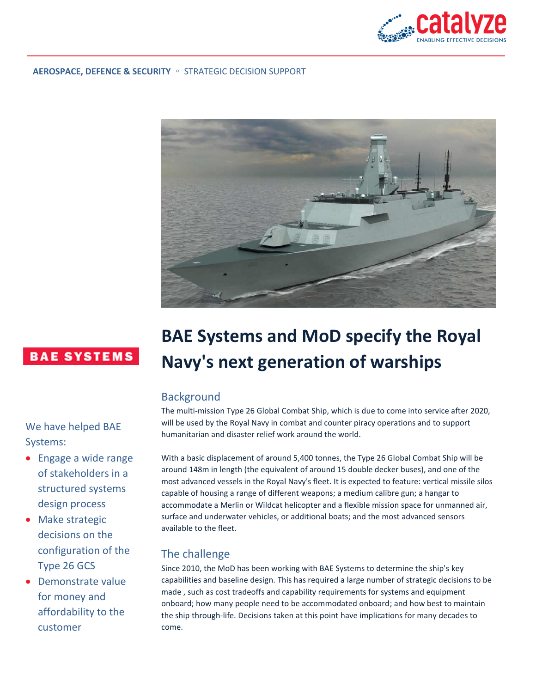

#### **AEROSPACE, DEFENCE & SECURITY** ◦ STRATEGIC DECISION SUPPORT



## **BAE SYSTEMS**

We have helped BAE Systems:

- Engage a wide range of stakeholders in a structured systems design process
- Make strategic decisions on the configuration of the Type 26 GCS
- Demonstrate value for money and affordability to the customer

# **BAE Systems and MoD specify the Royal Navy's next generation of warships**

### **Background**

The multi-mission Type 26 Global Combat Ship, which is due to come into service after 2020, will be used by the Royal Navy in combat and counter piracy operations and to support humanitarian and disaster relief work around the world.

With a basic displacement of around 5,400 tonnes, the Type 26 Global Combat Ship will be around 148m in length (the equivalent of around 15 double decker buses), and one of the most advanced vessels in the Royal Navy's fleet. It is expected to feature: vertical missile silos capable of housing a range of different weapons; a medium calibre gun; a hangar to accommodate a Merlin or Wildcat helicopter and a flexible mission space for unmanned air, surface and underwater vehicles, or additional boats; and the most advanced sensors available to the fleet.

#### The challenge

Since 2010, the MoD has been working with BAE Systems to determine the ship's key capabilities and baseline design. This has required a large number of strategic decisions to be made , such as cost tradeoffs and capability requirements for systems and equipment onboard; how many people need to be accommodated onboard; and how best to maintain the ship through-life. Decisions taken at this point have implications for many decades to come.